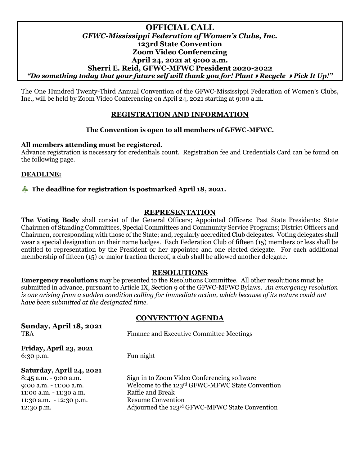## **OFFICIAL CALL** *GFWC-Mississippi Federation of Women's Clubs, Inc.* **123rd State Convention Zoom Video Conferencing April 24, 2021 at 9:00 a.m. Sherri E. Reid, GFWC-MFWC President 2020-2022** *"Do something today that your future self will thank you for! PlantRecycle Pick It Up!"*

The One Hundred Twenty-Third Annual Convention of the GFWC-Mississippi Federation of Women's Clubs, Inc., will be held by Zoom Video Conferencing on April 24, 2021 starting at 9:00 a.m.

# **REGISTRATION AND INFORMATION**

# **The Convention is open to all members of GFWC-MFWC.**

#### **All members attending must be registered.**

Advance registration is necessary for credentials count. Registration fee and Credentials Card can be found on the following page.

## **DEADLINE:**

## **Example 18, 2021.** The deadline for registration is postmarked April 18, 2021.

## **REPRESENTATION**

**The Voting Body** shall consist of the General Officers; Appointed Officers; Past State Presidents; State Chairmen of Standing Committees, Special Committees and Community Service Programs; District Officers and Chairmen, corresponding with those of the State; and, regularly accredited Club delegates. Voting delegates shall wear a special designation on their name badges. Each Federation Club of fifteen (15) members or less shall be entitled to representation by the President or her appointee and one elected delegate. For each additional membership of fifteen (15) or major fraction thereof, a club shall be allowed another delegate.

#### **RESOLUTIONS**

**Emergency resolutions** may be presented to the Resolutions Committee. All other resolutions must be submitted in advance, pursuant to Article IX, Section 9 of the GFWC-MFWC Bylaws. *An emergency resolution is one arising from a sudden condition calling for immediate action, which because of its nature could not have been submitted at the designated time.*

#### **CONVENTION AGENDA**

**Sunday, April 18, 2021** TBA Finance and Executive Committee Meetings **Friday, April 23, 2021** 6:30 p.m. Fun night **Saturday, April 24, 2021** 8:45 a.m. - 9:00 a.m. Sign in to Zoom Video Conferencing software 9:00 a.m. - 11:00 a.m. Welcome to the 123<sup>rd</sup> GFWC-MFWC State Convention 11:00 a.m. - 11:30 a.m. Raffle and Break 11:30 a.m. - 12:30 p.m. Resume Convention 12:30 p.m. Adjourned the 123rd GFWC-MFWC State Convention